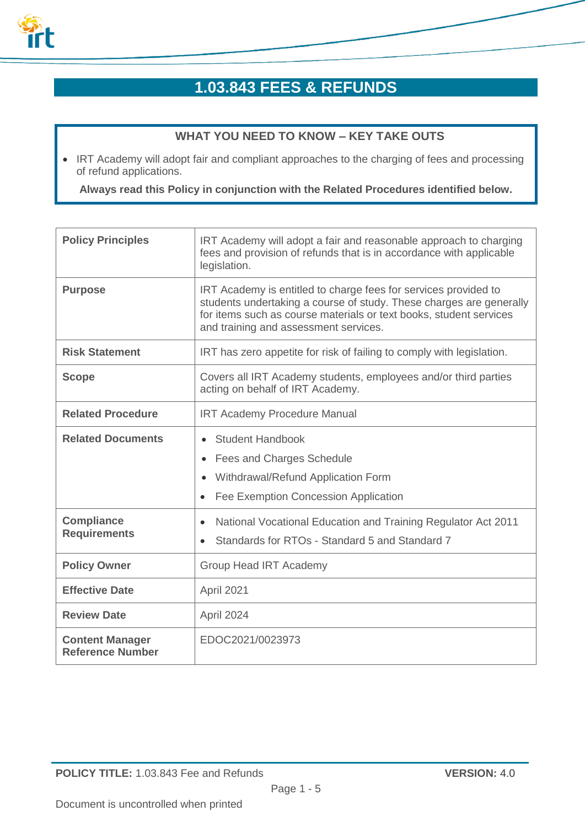

# **1.03.843 FEES & REFUNDS**

# **WHAT YOU NEED TO KNOW – KEY TAKE OUTS**

• IRT Academy will adopt fair and compliant approaches to the charging of fees and processing of refund applications.

**Always read this Policy in conjunction with the Related Procedures identified below.**

| <b>Policy Principles</b>                          | IRT Academy will adopt a fair and reasonable approach to charging<br>fees and provision of refunds that is in accordance with applicable<br>legislation.                                                                                              |
|---------------------------------------------------|-------------------------------------------------------------------------------------------------------------------------------------------------------------------------------------------------------------------------------------------------------|
| <b>Purpose</b>                                    | IRT Academy is entitled to charge fees for services provided to<br>students undertaking a course of study. These charges are generally<br>for items such as course materials or text books, student services<br>and training and assessment services. |
| <b>Risk Statement</b>                             | IRT has zero appetite for risk of failing to comply with legislation.                                                                                                                                                                                 |
| <b>Scope</b>                                      | Covers all IRT Academy students, employees and/or third parties<br>acting on behalf of IRT Academy.                                                                                                                                                   |
| <b>Related Procedure</b>                          | <b>IRT Academy Procedure Manual</b>                                                                                                                                                                                                                   |
| <b>Related Documents</b>                          | <b>Student Handbook</b><br>Fees and Charges Schedule<br>Withdrawal/Refund Application Form<br>$\bullet$<br>Fee Exemption Concession Application                                                                                                       |
| <b>Compliance</b><br><b>Requirements</b>          | National Vocational Education and Training Regulator Act 2011<br>$\bullet$<br>Standards for RTOs - Standard 5 and Standard 7                                                                                                                          |
| <b>Policy Owner</b>                               | <b>Group Head IRT Academy</b>                                                                                                                                                                                                                         |
| <b>Effective Date</b>                             | April 2021                                                                                                                                                                                                                                            |
| <b>Review Date</b>                                | April 2024                                                                                                                                                                                                                                            |
| <b>Content Manager</b><br><b>Reference Number</b> | EDOC2021/0023973                                                                                                                                                                                                                                      |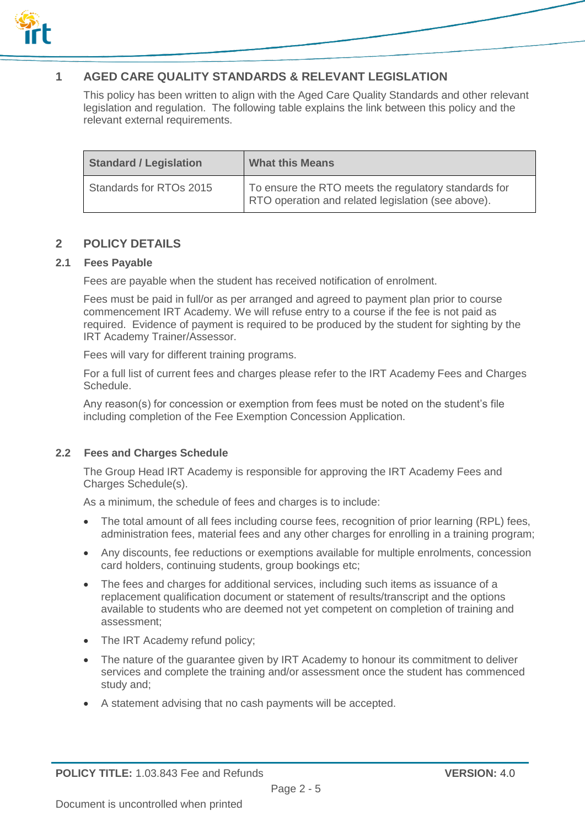

# **1 AGED CARE QUALITY STANDARDS & RELEVANT LEGISLATION**

This policy has been written to align with the Aged Care Quality Standards and other relevant legislation and regulation. The following table explains the link between this policy and the relevant external requirements.

| <b>Standard / Legislation</b> | <b>What this Means</b>                                                                                     |
|-------------------------------|------------------------------------------------------------------------------------------------------------|
| Standards for RTOs 2015       | To ensure the RTO meets the regulatory standards for<br>RTO operation and related legislation (see above). |

## **2 POLICY DETAILS**

#### **2.1 Fees Payable**

Fees are payable when the student has received notification of enrolment.

Fees must be paid in full/or as per arranged and agreed to payment plan prior to course commencement IRT Academy. We will refuse entry to a course if the fee is not paid as required. Evidence of payment is required to be produced by the student for sighting by the IRT Academy Trainer/Assessor.

Fees will vary for different training programs.

For a full list of current fees and charges please refer to the IRT Academy Fees and Charges Schedule.

Any reason(s) for concession or exemption from fees must be noted on the student's file including completion of the Fee Exemption Concession Application.

#### **2.2 Fees and Charges Schedule**

The Group Head IRT Academy is responsible for approving the IRT Academy Fees and Charges Schedule(s).

As a minimum, the schedule of fees and charges is to include:

- The total amount of all fees including course fees, recognition of prior learning (RPL) fees, administration fees, material fees and any other charges for enrolling in a training program;
- Any discounts, fee reductions or exemptions available for multiple enrolments, concession card holders, continuing students, group bookings etc;
- The fees and charges for additional services, including such items as issuance of a replacement qualification document or statement of results/transcript and the options available to students who are deemed not yet competent on completion of training and assessment;
- The IRT Academy refund policy;
- The nature of the guarantee given by IRT Academy to honour its commitment to deliver services and complete the training and/or assessment once the student has commenced study and;
- A statement advising that no cash payments will be accepted.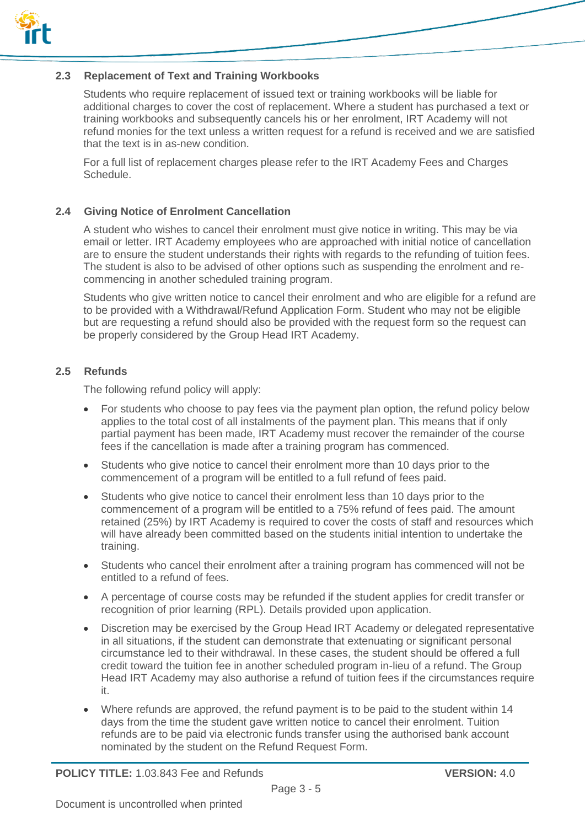

### **2.3 Replacement of Text and Training Workbooks**

Students who require replacement of issued text or training workbooks will be liable for additional charges to cover the cost of replacement. Where a student has purchased a text or training workbooks and subsequently cancels his or her enrolment, IRT Academy will not refund monies for the text unless a written request for a refund is received and we are satisfied that the text is in as-new condition.

For a full list of replacement charges please refer to the IRT Academy Fees and Charges Schedule.

## **2.4 Giving Notice of Enrolment Cancellation**

A student who wishes to cancel their enrolment must give notice in writing. This may be via email or letter. IRT Academy employees who are approached with initial notice of cancellation are to ensure the student understands their rights with regards to the refunding of tuition fees. The student is also to be advised of other options such as suspending the enrolment and recommencing in another scheduled training program.

Students who give written notice to cancel their enrolment and who are eligible for a refund are to be provided with a Withdrawal/Refund Application Form. Student who may not be eligible but are requesting a refund should also be provided with the request form so the request can be properly considered by the Group Head IRT Academy.

## **2.5 Refunds**

The following refund policy will apply:

- For students who choose to pay fees via the payment plan option, the refund policy below applies to the total cost of all instalments of the payment plan. This means that if only partial payment has been made, IRT Academy must recover the remainder of the course fees if the cancellation is made after a training program has commenced.
- Students who give notice to cancel their enrolment more than 10 days prior to the commencement of a program will be entitled to a full refund of fees paid.
- Students who give notice to cancel their enrolment less than 10 days prior to the commencement of a program will be entitled to a 75% refund of fees paid. The amount retained (25%) by IRT Academy is required to cover the costs of staff and resources which will have already been committed based on the students initial intention to undertake the training.
- Students who cancel their enrolment after a training program has commenced will not be entitled to a refund of fees.
- A percentage of course costs may be refunded if the student applies for credit transfer or recognition of prior learning (RPL). Details provided upon application.
- Discretion may be exercised by the Group Head IRT Academy or delegated representative in all situations, if the student can demonstrate that extenuating or significant personal circumstance led to their withdrawal. In these cases, the student should be offered a full credit toward the tuition fee in another scheduled program in-lieu of a refund. The Group Head IRT Academy may also authorise a refund of tuition fees if the circumstances require it.
- Where refunds are approved, the refund payment is to be paid to the student within 14 days from the time the student gave written notice to cancel their enrolment. Tuition refunds are to be paid via electronic funds transfer using the authorised bank account nominated by the student on the Refund Request Form.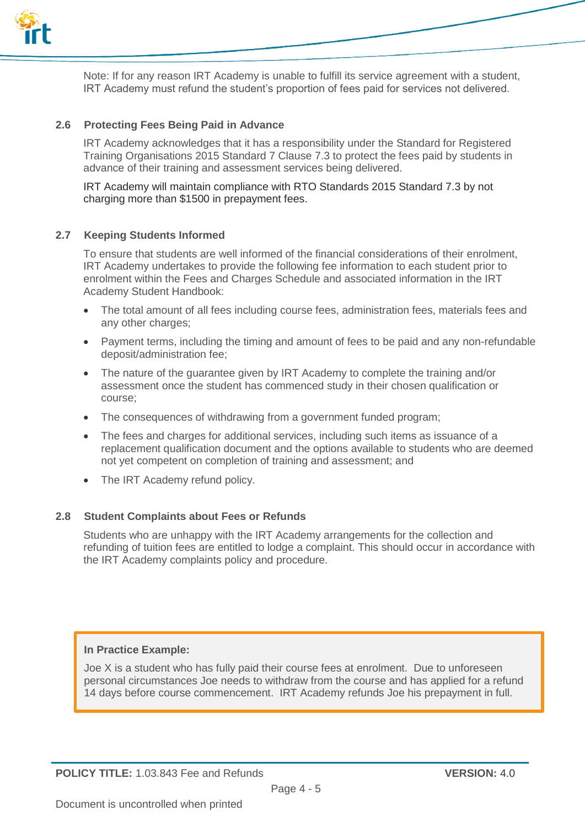

Note: If for any reason IRT Academy is unable to fulfill its service agreement with a student, IRT Academy must refund the student's proportion of fees paid for services not delivered.

## **2.6 Protecting Fees Being Paid in Advance**

IRT Academy acknowledges that it has a responsibility under the Standard for Registered Training Organisations 2015 Standard 7 Clause 7.3 to protect the fees paid by students in advance of their training and assessment services being delivered.

IRT Academy will maintain compliance with RTO Standards 2015 Standard 7.3 by not charging more than \$1500 in prepayment fees.

#### **2.7 Keeping Students Informed**

To ensure that students are well informed of the financial considerations of their enrolment, IRT Academy undertakes to provide the following fee information to each student prior to enrolment within the Fees and Charges Schedule and associated information in the IRT Academy Student Handbook:

- The total amount of all fees including course fees, administration fees, materials fees and any other charges:
- Payment terms, including the timing and amount of fees to be paid and any non-refundable deposit/administration fee;
- The nature of the guarantee given by IRT Academy to complete the training and/or assessment once the student has commenced study in their chosen qualification or course;
- The consequences of withdrawing from a government funded program;
- The fees and charges for additional services, including such items as issuance of a replacement qualification document and the options available to students who are deemed not yet competent on completion of training and assessment; and
- The IRT Academy refund policy.

#### **2.8 Student Complaints about Fees or Refunds**

Students who are unhappy with the IRT Academy arrangements for the collection and refunding of tuition fees are entitled to lodge a complaint. This should occur in accordance with the IRT Academy complaints policy and procedure.

## **In Practice Example:**

Joe X is a student who has fully paid their course fees at enrolment. Due to unforeseen personal circumstances Joe needs to withdraw from the course and has applied for a refund 14 days before course commencement. IRT Academy refunds Joe his prepayment in full.